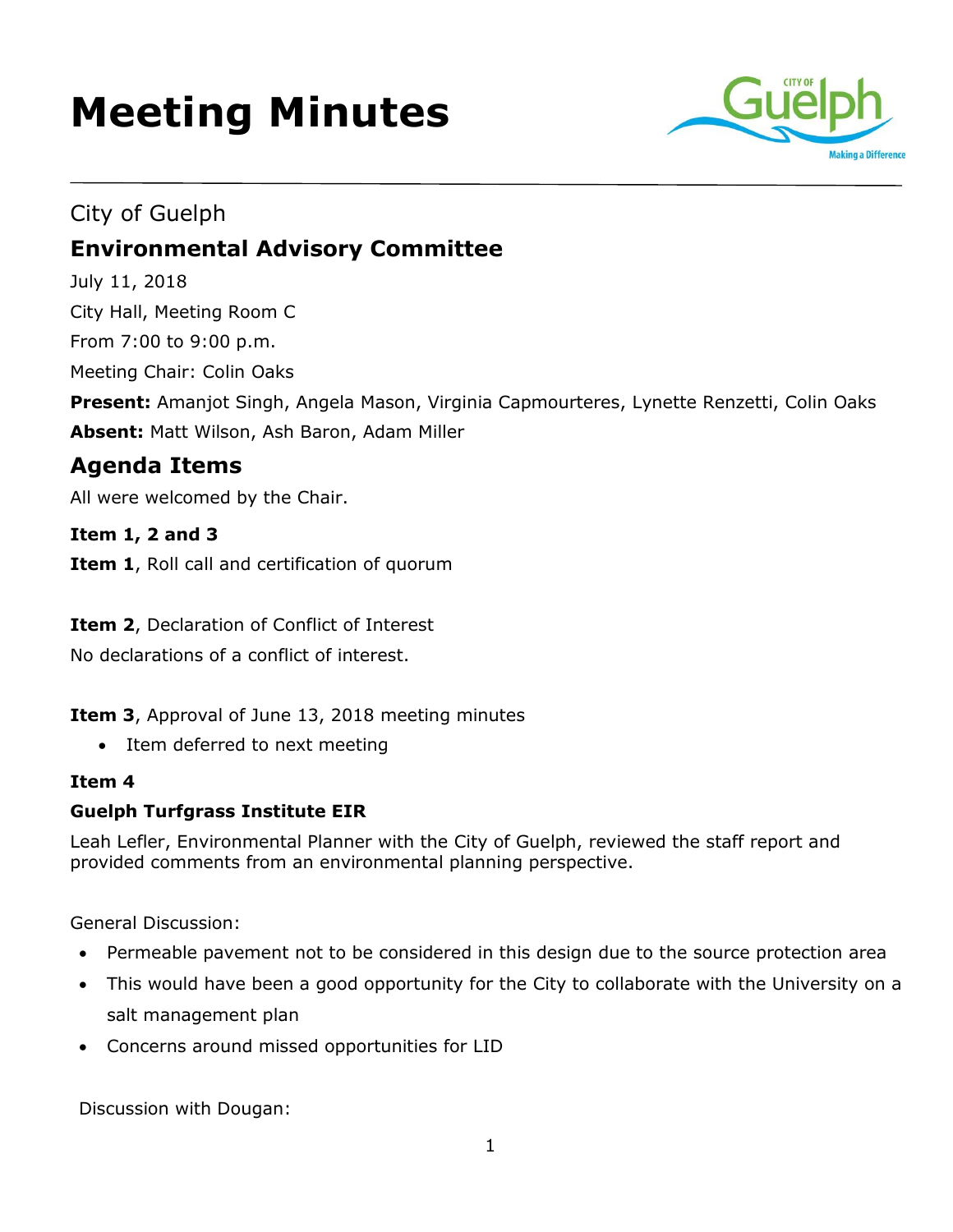# **Meeting Minutes**



# City of Guelph **Environmental Advisory Committee**

July 11, 2018

City Hall, Meeting Room C From 7:00 to 9:00 p.m.

Meeting Chair: Colin Oaks

**Present:** Amanjot Singh, Angela Mason, Virginia Capmourteres, Lynette Renzetti, Colin Oaks **Absent:** Matt Wilson, Ash Baron, Adam Miller

## **Agenda Items**

All were welcomed by the Chair.

**Item 1, 2 and 3**

**Item 1**, Roll call and certification of quorum

**Item 2**, Declaration of Conflict of Interest

No declarations of a conflict of interest.

**Item 3**, Approval of June 13, 2018 meeting minutes

• Item deferred to next meeting

## **Item 4**

## **Guelph Turfgrass Institute EIR**

Leah Lefler, Environmental Planner with the City of Guelph, reviewed the staff report and provided comments from an environmental planning perspective.

General Discussion:

- Permeable pavement not to be considered in this design due to the source protection area
- This would have been a good opportunity for the City to collaborate with the University on a salt management plan
- Concerns around missed opportunities for LID

Discussion with Dougan: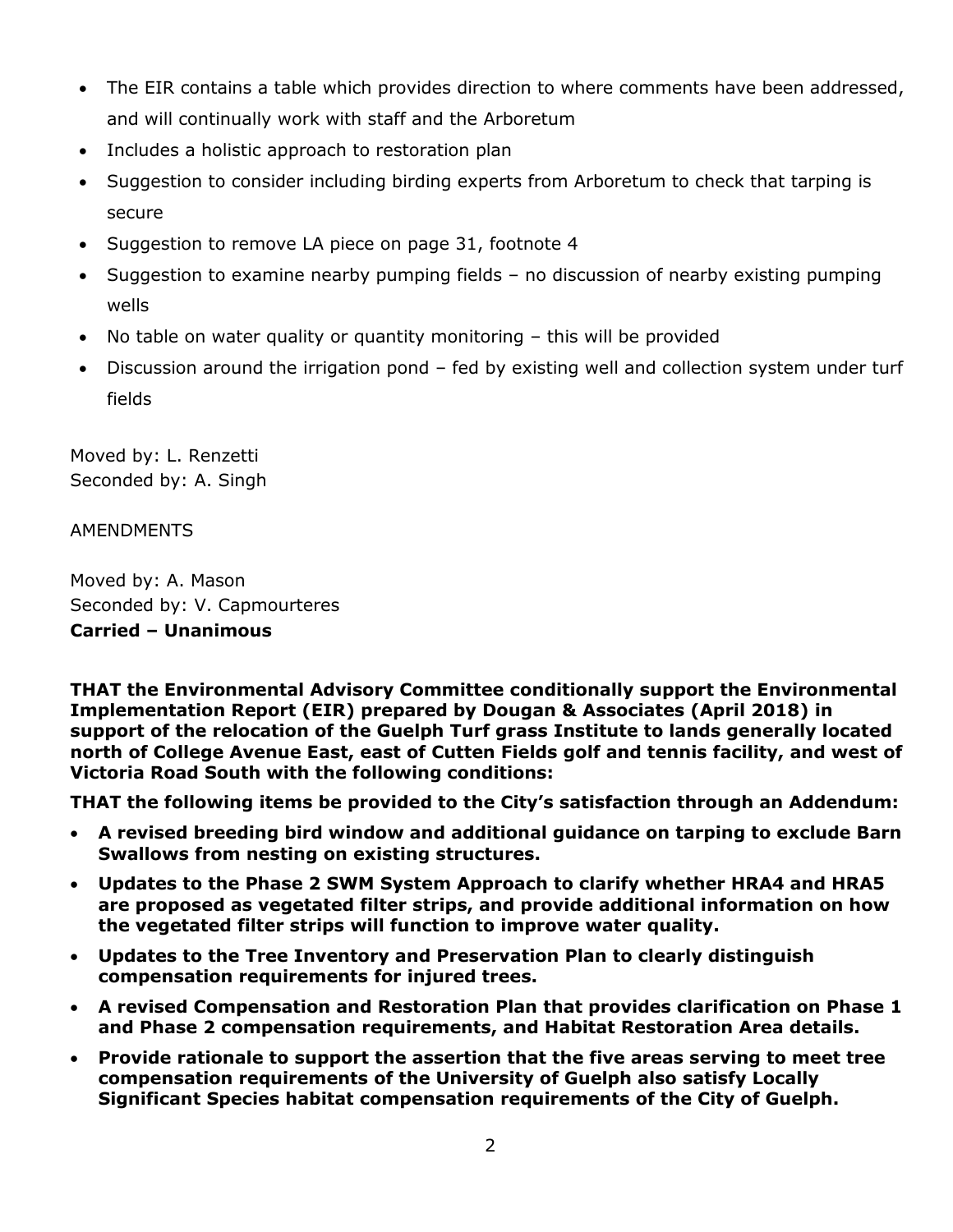- The EIR contains a table which provides direction to where comments have been addressed, and will continually work with staff and the Arboretum
- Includes a holistic approach to restoration plan
- Suggestion to consider including birding experts from Arboretum to check that tarping is secure
- Suggestion to remove LA piece on page 31, footnote 4
- Suggestion to examine nearby pumping fields no discussion of nearby existing pumping wells
- No table on water quality or quantity monitoring this will be provided
- Discussion around the irrigation pond fed by existing well and collection system under turf fields

Moved by: L. Renzetti Seconded by: A. Singh

#### AMENDMENTS

Moved by: A. Mason Seconded by: V. Capmourteres **Carried – Unanimous** 

**THAT the Environmental Advisory Committee conditionally support the Environmental Implementation Report (EIR) prepared by Dougan & Associates (April 2018) in support of the relocation of the Guelph Turf grass Institute to lands generally located north of College Avenue East, east of Cutten Fields golf and tennis facility, and west of Victoria Road South with the following conditions:**

**THAT the following items be provided to the City's satisfaction through an Addendum:**

- **A revised breeding bird window and additional guidance on tarping to exclude Barn Swallows from nesting on existing structures.**
- **Updates to the Phase 2 SWM System Approach to clarify whether HRA4 and HRA5 are proposed as vegetated filter strips, and provide additional information on how the vegetated filter strips will function to improve water quality.**
- **Updates to the Tree Inventory and Preservation Plan to clearly distinguish compensation requirements for injured trees.**
- **A revised Compensation and Restoration Plan that provides clarification on Phase 1 and Phase 2 compensation requirements, and Habitat Restoration Area details.**
- **Provide rationale to support the assertion that the five areas serving to meet tree compensation requirements of the University of Guelph also satisfy Locally Significant Species habitat compensation requirements of the City of Guelph.**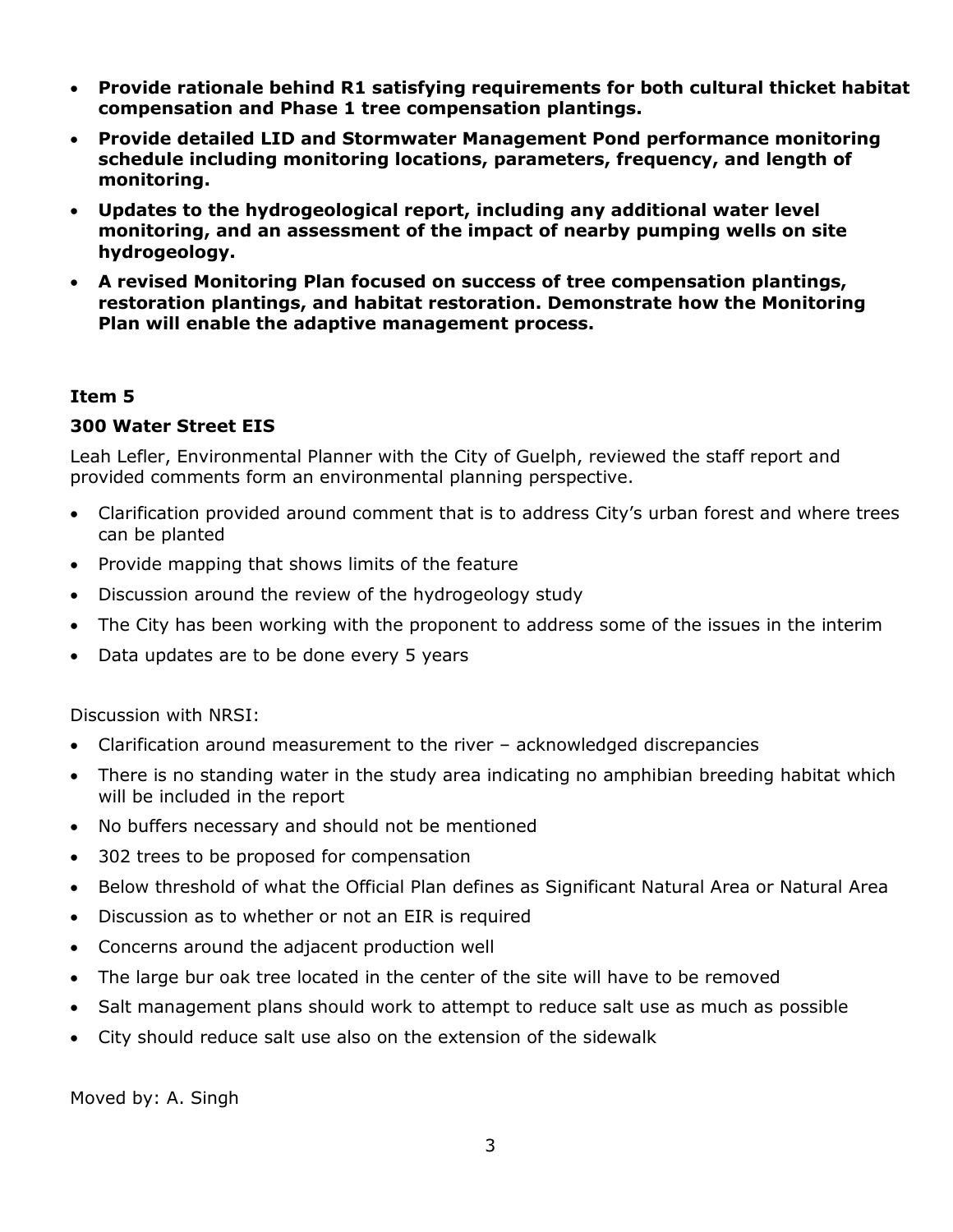- **Provide rationale behind R1 satisfying requirements for both cultural thicket habitat compensation and Phase 1 tree compensation plantings.**
- **Provide detailed LID and Stormwater Management Pond performance monitoring schedule including monitoring locations, parameters, frequency, and length of monitoring.**
- **Updates to the hydrogeological report, including any additional water level monitoring, and an assessment of the impact of nearby pumping wells on site hydrogeology.**
- **A revised Monitoring Plan focused on success of tree compensation plantings, restoration plantings, and habitat restoration. Demonstrate how the Monitoring Plan will enable the adaptive management process.**

#### **Item 5**

#### **300 Water Street EIS**

Leah Lefler, Environmental Planner with the City of Guelph, reviewed the staff report and provided comments form an environmental planning perspective.

- Clarification provided around comment that is to address City's urban forest and where trees can be planted
- Provide mapping that shows limits of the feature
- Discussion around the review of the hydrogeology study
- The City has been working with the proponent to address some of the issues in the interim
- Data updates are to be done every 5 years

Discussion with NRSI:

- Clarification around measurement to the river acknowledged discrepancies
- There is no standing water in the study area indicating no amphibian breeding habitat which will be included in the report
- No buffers necessary and should not be mentioned
- 302 trees to be proposed for compensation
- Below threshold of what the Official Plan defines as Significant Natural Area or Natural Area
- Discussion as to whether or not an EIR is required
- Concerns around the adjacent production well
- The large bur oak tree located in the center of the site will have to be removed
- Salt management plans should work to attempt to reduce salt use as much as possible
- City should reduce salt use also on the extension of the sidewalk

Moved by: A. Singh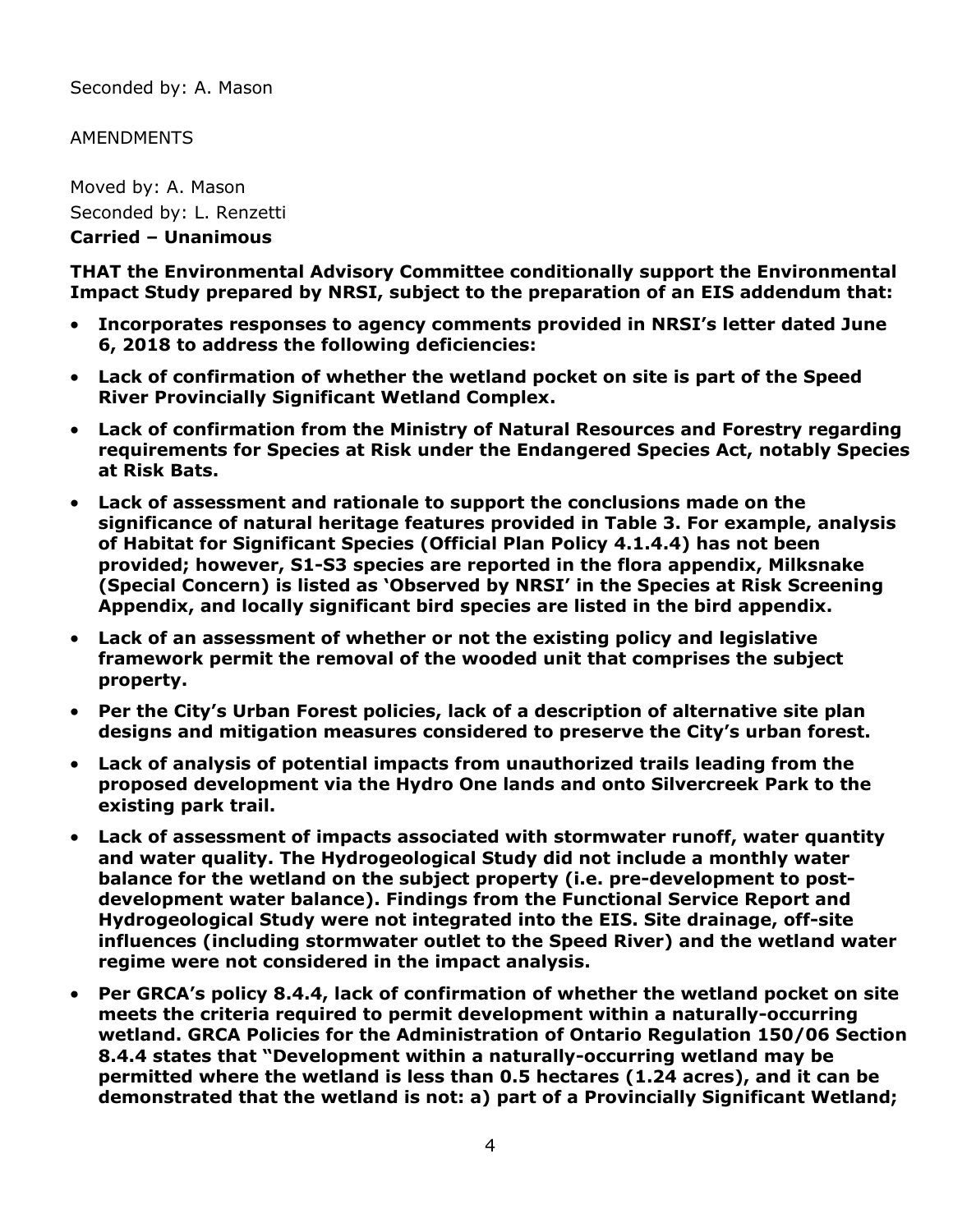Seconded by: A. Mason

#### **AMENDMENTS**

Moved by: A. Mason Seconded by: L. Renzetti **Carried – Unanimous** 

**THAT the Environmental Advisory Committee conditionally support the Environmental Impact Study prepared by NRSI, subject to the preparation of an EIS addendum that:**

- **Incorporates responses to agency comments provided in NRSI's letter dated June 6, 2018 to address the following deficiencies:**
- **Lack of confirmation of whether the wetland pocket on site is part of the Speed River Provincially Significant Wetland Complex.**
- **Lack of confirmation from the Ministry of Natural Resources and Forestry regarding requirements for Species at Risk under the Endangered Species Act, notably Species at Risk Bats.**
- **Lack of assessment and rationale to support the conclusions made on the significance of natural heritage features provided in Table 3. For example, analysis of Habitat for Significant Species (Official Plan Policy 4.1.4.4) has not been provided; however, S1-S3 species are reported in the flora appendix, Milksnake (Special Concern) is listed as 'Observed by NRSI' in the Species at Risk Screening Appendix, and locally significant bird species are listed in the bird appendix.**
- **Lack of an assessment of whether or not the existing policy and legislative framework permit the removal of the wooded unit that comprises the subject property.**
- **Per the City's Urban Forest policies, lack of a description of alternative site plan designs and mitigation measures considered to preserve the City's urban forest.**
- **Lack of analysis of potential impacts from unauthorized trails leading from the proposed development via the Hydro One lands and onto Silvercreek Park to the existing park trail.**
- **Lack of assessment of impacts associated with stormwater runoff, water quantity and water quality. The Hydrogeological Study did not include a monthly water balance for the wetland on the subject property (i.e. pre-development to postdevelopment water balance). Findings from the Functional Service Report and Hydrogeological Study were not integrated into the EIS. Site drainage, off-site influences (including stormwater outlet to the Speed River) and the wetland water regime were not considered in the impact analysis.**
- **Per GRCA's policy 8.4.4, lack of confirmation of whether the wetland pocket on site meets the criteria required to permit development within a naturally-occurring wetland. GRCA Policies for the Administration of Ontario Regulation 150/06 Section 8.4.4 states that "Development within a naturally-occurring wetland may be permitted where the wetland is less than 0.5 hectares (1.24 acres), and it can be demonstrated that the wetland is not: a) part of a Provincially Significant Wetland;**